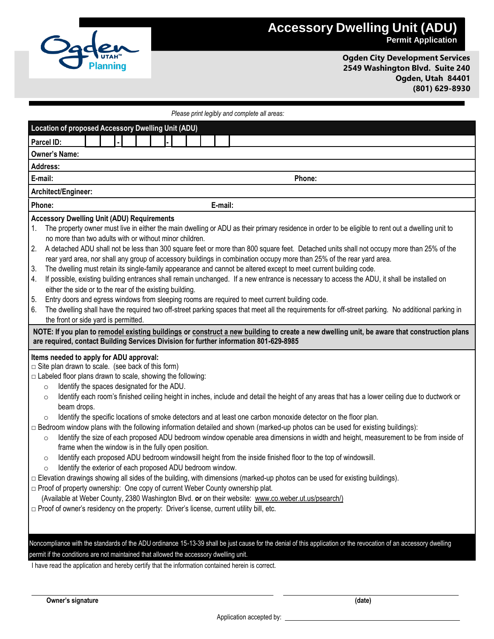

## **Accessory Dwelling Unit (ADU) Permit Application**

**Ogden City Development Services 2549 Washington Blvd. Suite 240 Ogden, Utah 84401 (801) 629-8930**

| Please print legibly and complete all areas: |  |
|----------------------------------------------|--|
|----------------------------------------------|--|

| <b>Location of proposed Accessory Dwelling Unit (ADU)</b>                                                                                                                                                                                                                                                                                                                                                                                                                                                                                                                                                                                                                                                                                                                                                                                                                                                                                                                                                                                                                                                                                                                                                                                                                                                                                                                                                                                                                                                                 |  |  |
|---------------------------------------------------------------------------------------------------------------------------------------------------------------------------------------------------------------------------------------------------------------------------------------------------------------------------------------------------------------------------------------------------------------------------------------------------------------------------------------------------------------------------------------------------------------------------------------------------------------------------------------------------------------------------------------------------------------------------------------------------------------------------------------------------------------------------------------------------------------------------------------------------------------------------------------------------------------------------------------------------------------------------------------------------------------------------------------------------------------------------------------------------------------------------------------------------------------------------------------------------------------------------------------------------------------------------------------------------------------------------------------------------------------------------------------------------------------------------------------------------------------------------|--|--|
| Parcel ID:                                                                                                                                                                                                                                                                                                                                                                                                                                                                                                                                                                                                                                                                                                                                                                                                                                                                                                                                                                                                                                                                                                                                                                                                                                                                                                                                                                                                                                                                                                                |  |  |
| <b>Owner's Name:</b>                                                                                                                                                                                                                                                                                                                                                                                                                                                                                                                                                                                                                                                                                                                                                                                                                                                                                                                                                                                                                                                                                                                                                                                                                                                                                                                                                                                                                                                                                                      |  |  |
| <b>Address:</b>                                                                                                                                                                                                                                                                                                                                                                                                                                                                                                                                                                                                                                                                                                                                                                                                                                                                                                                                                                                                                                                                                                                                                                                                                                                                                                                                                                                                                                                                                                           |  |  |
| E-mail:<br>Phone:                                                                                                                                                                                                                                                                                                                                                                                                                                                                                                                                                                                                                                                                                                                                                                                                                                                                                                                                                                                                                                                                                                                                                                                                                                                                                                                                                                                                                                                                                                         |  |  |
| Architect/Engineer:                                                                                                                                                                                                                                                                                                                                                                                                                                                                                                                                                                                                                                                                                                                                                                                                                                                                                                                                                                                                                                                                                                                                                                                                                                                                                                                                                                                                                                                                                                       |  |  |
| Phone:<br>E-mail:                                                                                                                                                                                                                                                                                                                                                                                                                                                                                                                                                                                                                                                                                                                                                                                                                                                                                                                                                                                                                                                                                                                                                                                                                                                                                                                                                                                                                                                                                                         |  |  |
| <b>Accessory Dwelling Unit (ADU) Requirements</b><br>The property owner must live in either the main dwelling or ADU as their primary residence in order to be eligible to rent out a dwelling unit to<br>1.<br>no more than two adults with or without minor children.<br>2.<br>A detached ADU shall not be less than 300 square feet or more than 800 square feet. Detached units shall not occupy more than 25% of the<br>rear yard area, nor shall any group of accessory buildings in combination occupy more than 25% of the rear yard area.<br>The dwelling must retain its single-family appearance and cannot be altered except to meet current building code.<br>3.<br>If possible, existing building entrances shall remain unchanged. If a new entrance is necessary to access the ADU, it shall be installed on<br>4.<br>either the side or to the rear of the existing building.                                                                                                                                                                                                                                                                                                                                                                                                                                                                                                                                                                                                                            |  |  |
| Entry doors and egress windows from sleeping rooms are required to meet current building code.<br>5.<br>The dwelling shall have the required two off-street parking spaces that meet all the requirements for off-street parking. No additional parking in<br>6.<br>the front or side yard is permitted.                                                                                                                                                                                                                                                                                                                                                                                                                                                                                                                                                                                                                                                                                                                                                                                                                                                                                                                                                                                                                                                                                                                                                                                                                  |  |  |
| NOTE: If you plan to remodel existing buildings or construct a new building to create a new dwelling unit, be aware that construction plans<br>are required, contact Building Services Division for further information 801-629-8985                                                                                                                                                                                                                                                                                                                                                                                                                                                                                                                                                                                                                                                                                                                                                                                                                                                                                                                                                                                                                                                                                                                                                                                                                                                                                      |  |  |
| Items needed to apply for ADU approval:<br>$\Box$ Site plan drawn to scale. (see back of this form)<br>$\Box$ Labeled floor plans drawn to scale, showing the following:<br>Identify the spaces designated for the ADU.<br>$\circ$<br>Identify each room's finished ceiling height in inches, include and detail the height of any areas that has a lower ceiling due to ductwork or<br>$\circ$<br>beam drops.<br>Identify the specific locations of smoke detectors and at least one carbon monoxide detector on the floor plan.<br>$\circ$<br>□ Bedroom window plans with the following information detailed and shown (marked-up photos can be used for existing buildings):<br>Identify the size of each proposed ADU bedroom window openable area dimensions in width and height, measurement to be from inside of<br>$\circ$<br>frame when the window is in the fully open position.<br>Identify each proposed ADU bedroom windowsill height from the inside finished floor to the top of windowsill.<br>$\circ$<br>Identify the exterior of each proposed ADU bedroom window.<br>$\circ$<br>□ Elevation drawings showing all sides of the building, with dimensions (marked-up photos can be used for existing buildings).<br>□ Proof of property ownership: One copy of current Weber County ownership plat.<br>(Available at Weber County, 2380 Washington Blvd. or on their website: www.co.weber.ut.us/psearch/)<br>□ Proof of owner's residency on the property: Driver's license, current utility bill, etc. |  |  |
| Noncompliance with the standards of the ADU ordinance 15-13-39 shall be just cause for the denial of this application or the revocation of an accessory dwelling<br>permit if the conditions are not maintained that allowed the accessory dwelling unit.<br>I have read the application and hereby certify that the information contained herein is correct.                                                                                                                                                                                                                                                                                                                                                                                                                                                                                                                                                                                                                                                                                                                                                                                                                                                                                                                                                                                                                                                                                                                                                             |  |  |